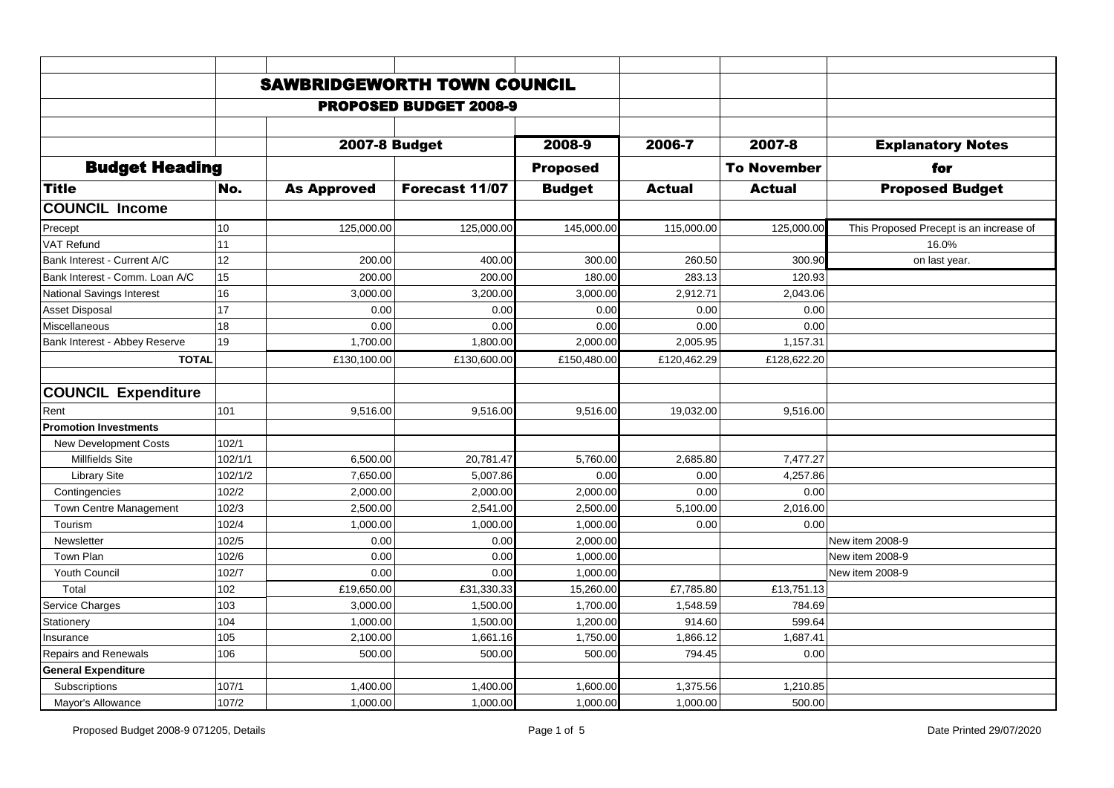|                                  |         | <b>SAWBRIDGEWORTH TOWN COUNCIL</b> |                               |                 |               |                    |                                         |
|----------------------------------|---------|------------------------------------|-------------------------------|-----------------|---------------|--------------------|-----------------------------------------|
|                                  |         |                                    | <b>PROPOSED BUDGET 2008-9</b> |                 |               |                    |                                         |
|                                  |         |                                    |                               |                 |               |                    |                                         |
|                                  |         | <b>2007-8 Budget</b>               |                               | 2008-9          | 2006-7        | 2007-8             | <b>Explanatory Notes</b>                |
| <b>Budget Heading</b>            |         |                                    |                               | <b>Proposed</b> |               | <b>To November</b> | for                                     |
| <b>Title</b>                     | No.     | <b>As Approved</b>                 | Forecast 11/07                | <b>Budget</b>   | <b>Actual</b> | <b>Actual</b>      | <b>Proposed Budget</b>                  |
| <b>COUNCIL Income</b>            |         |                                    |                               |                 |               |                    |                                         |
| Precept                          | 10      | 125,000.00                         | 125,000.00                    | 145,000.00      | 115,000.00    | 125,000.00         | This Proposed Precept is an increase of |
| VAT Refund                       | 11      |                                    |                               |                 |               |                    | 16.0%                                   |
| Bank Interest - Current A/C      | 12      | 200.00                             | 400.00                        | 300.00          | 260.50        | 300.90             | on last year.                           |
| Bank Interest - Comm. Loan A/C   | 15      | 200.00                             | 200.00                        | 180.00          | 283.13        | 120.93             |                                         |
|                                  |         |                                    |                               |                 |               |                    |                                         |
| <b>National Savings Interest</b> | 16      | 3,000.00                           | 3,200.00                      | 3,000.00        | 2,912.71      | 2,043.06           |                                         |
| <b>Asset Disposal</b>            | 17      | 0.00                               | 0.00                          | 0.00            | 0.00<br>0.00  | 0.00               |                                         |
| Miscellaneous                    | 18      | 0.00                               | 0.00                          | 0.00            |               | 0.00               |                                         |
| Bank Interest - Abbey Reserve    | 19      | 1,700.00                           | 1,800.00                      | 2,000.00        | 2,005.95      | 1,157.31           |                                         |
| <b>TOTAL</b>                     |         | £130,100.00                        | £130,600.00                   | £150,480.00     | £120,462.29   | £128,622.20        |                                         |
|                                  |         |                                    |                               |                 |               |                    |                                         |
| <b>COUNCIL Expenditure</b>       |         |                                    |                               |                 |               |                    |                                         |
| Rent                             | 101     | 9,516.00                           | 9,516.00                      | 9,516.00        | 19,032.00     | 9,516.00           |                                         |
| <b>Promotion Investments</b>     |         |                                    |                               |                 |               |                    |                                         |
| <b>New Development Costs</b>     | 102/1   |                                    |                               |                 |               |                    |                                         |
| <b>Millfields Site</b>           | 102/1/1 | 6,500.00                           | 20,781.47                     | 5,760.00        | 2,685.80      | 7,477.27           |                                         |
| <b>Library Site</b>              | 102/1/2 | 7,650.00                           | 5,007.86                      | 0.00            | 0.00          | 4,257.86           |                                         |
| Contingencies                    | 102/2   | 2,000.00                           | 2,000.00                      | 2,000.00        | 0.00          | 0.00               |                                         |
| Town Centre Management           | 102/3   | 2,500.00                           | 2,541.00                      | 2.500.00        | 5,100.00      | 2,016.00           |                                         |
| Tourism                          | 102/4   | 1,000.00                           | 1,000.00                      | 1,000.00        | 0.00          | 0.00               |                                         |
| Newsletter                       | 102/5   | 0.00                               | 0.00                          | 2,000.00        |               |                    | New item 2008-9                         |
| Town Plan                        | 102/6   | 0.00                               | 0.00                          | 1,000.00        |               |                    | New item 2008-9                         |
| Youth Council                    | 102/7   | 0.00                               | 0.00                          | 1,000.00        |               |                    | New item 2008-9                         |
| Total                            | 102     | £19,650.00                         | £31,330.33                    | 15,260.00       | £7,785.80     | £13,751.13         |                                         |
| Service Charges                  | 103     | 3,000.00                           | 1,500.00                      | 1,700.00        | 1,548.59      | 784.69             |                                         |
| Stationery                       | 104     | 1,000.00                           | 1,500.00                      | 1,200.00        | 914.60        | 599.64             |                                         |
| Insurance                        | 105     | 2,100.00                           | 1,661.16                      | 1,750.00        | 1,866.12      | 1,687.41           |                                         |
| <b>Repairs and Renewals</b>      | 106     | 500.00                             | 500.00                        | 500.00          | 794.45        | 0.00               |                                         |
| <b>General Expenditure</b>       |         |                                    |                               |                 |               |                    |                                         |
| Subscriptions                    | 107/1   | 1,400.00                           | 1,400.00                      | 1,600.00        | 1,375.56      | 1,210.85           |                                         |
| Mayor's Allowance                | 107/2   | 1,000.00                           | 1,000.00                      | 1,000.00        | 1,000.00      | 500.00             |                                         |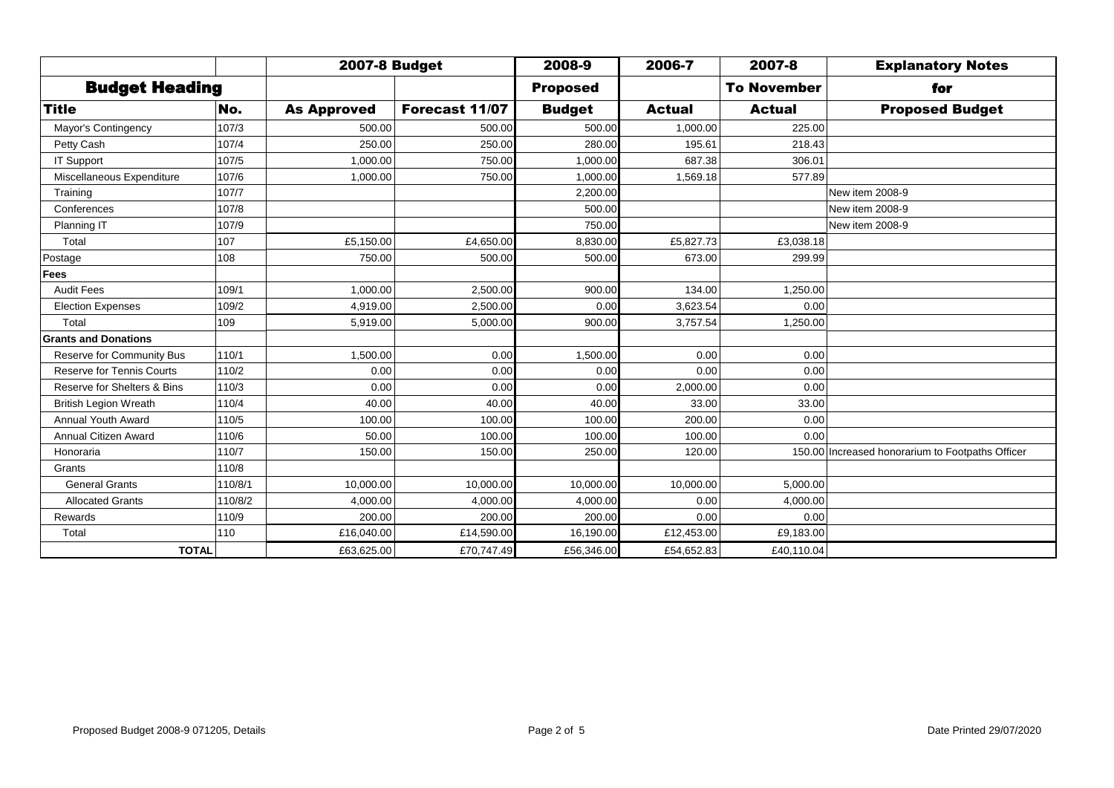|                                  |         | <b>2007-8 Budget</b> |                | 2008-9          | 2006-7        | 2007-8             | <b>Explanatory Notes</b>                         |
|----------------------------------|---------|----------------------|----------------|-----------------|---------------|--------------------|--------------------------------------------------|
| <b>Budget Heading</b>            |         |                      |                | <b>Proposed</b> |               | <b>To November</b> | for                                              |
| <b>Title</b>                     | No.     | <b>As Approved</b>   | Forecast 11/07 | <b>Budget</b>   | <b>Actual</b> | <b>Actual</b>      | <b>Proposed Budget</b>                           |
| Mayor's Contingency              | 107/3   | 500.00               | 500.00         | 500.00          | 1,000.00      | 225.00             |                                                  |
| Petty Cash                       | 107/4   | 250.00               | 250.00         | 280.00          | 195.61        | 218.43             |                                                  |
| IT Support                       | 107/5   | 1,000.00             | 750.00         | 1,000.00        | 687.38        | 306.01             |                                                  |
| Miscellaneous Expenditure        | 107/6   | 1,000.00             | 750.00         | 1,000.00        | 1,569.18      | 577.89             |                                                  |
| Training                         | 107/7   |                      |                | 2,200.00        |               |                    | New item 2008-9                                  |
| Conferences                      | 107/8   |                      |                | 500.00          |               |                    | New item 2008-9                                  |
| Planning IT                      | 107/9   |                      |                | 750.00          |               |                    | New item 2008-9                                  |
| Total                            | 107     | £5,150.00            | £4,650.00      | 8,830.00        | £5,827.73     | £3,038.18          |                                                  |
| Postage                          | 108     | 750.00               | 500.00         | 500.00          | 673.00        | 299.99             |                                                  |
| <b>Fees</b>                      |         |                      |                |                 |               |                    |                                                  |
| <b>Audit Fees</b>                | 109/1   | 1,000.00             | 2,500.00       | 900.00          | 134.00        | 1,250.00           |                                                  |
| <b>Election Expenses</b>         | 109/2   | 4,919.00             | 2,500.00       | 0.00            | 3,623.54      | 0.00               |                                                  |
| Total                            | 109     | 5,919.00             | 5,000.00       | 900.00          | 3,757.54      | 1,250.00           |                                                  |
| <b>Grants and Donations</b>      |         |                      |                |                 |               |                    |                                                  |
| <b>Reserve for Community Bus</b> | 110/1   | 1,500.00             | 0.00           | 1,500.00        | 0.00          | 0.00               |                                                  |
| <b>Reserve for Tennis Courts</b> | 110/2   | 0.00                 | 0.00           | 0.00            | 0.00          | 0.00               |                                                  |
| Reserve for Shelters & Bins      | 110/3   | 0.00                 | 0.00           | 0.00            | 2,000.00      | 0.00               |                                                  |
| <b>British Legion Wreath</b>     | 110/4   | 40.00                | 40.00          | 40.00           | 33.00         | 33.00              |                                                  |
| Annual Youth Award               | 110/5   | 100.00               | 100.00         | 100.00          | 200.00        | 0.00               |                                                  |
| Annual Citizen Award             | 110/6   | 50.00                | 100.00         | 100.00          | 100.00        | 0.00               |                                                  |
| Honoraria                        | 110/7   | 150.00               | 150.00         | 250.00          | 120.00        |                    | 150.00 Increased honorarium to Footpaths Officer |
| Grants                           | 110/8   |                      |                |                 |               |                    |                                                  |
| <b>General Grants</b>            | 110/8/1 | 10.000.00            | 10,000.00      | 10.000.00       | 10,000.00     | 5,000.00           |                                                  |
| <b>Allocated Grants</b>          | 110/8/2 | 4,000.00             | 4,000.00       | 4,000.00        | 0.00          | 4,000.00           |                                                  |
| Rewards                          | 110/9   | 200.00               | 200.00         | 200.00          | 0.00          | 0.00               |                                                  |
| Total                            | 110     | £16,040.00           | £14,590.00     | 16,190.00       | £12,453.00    | £9,183.00          |                                                  |
| <b>TOTAL</b>                     |         | £63,625.00           | £70,747.49     | £56,346.00      | £54,652.83    | £40,110.04         |                                                  |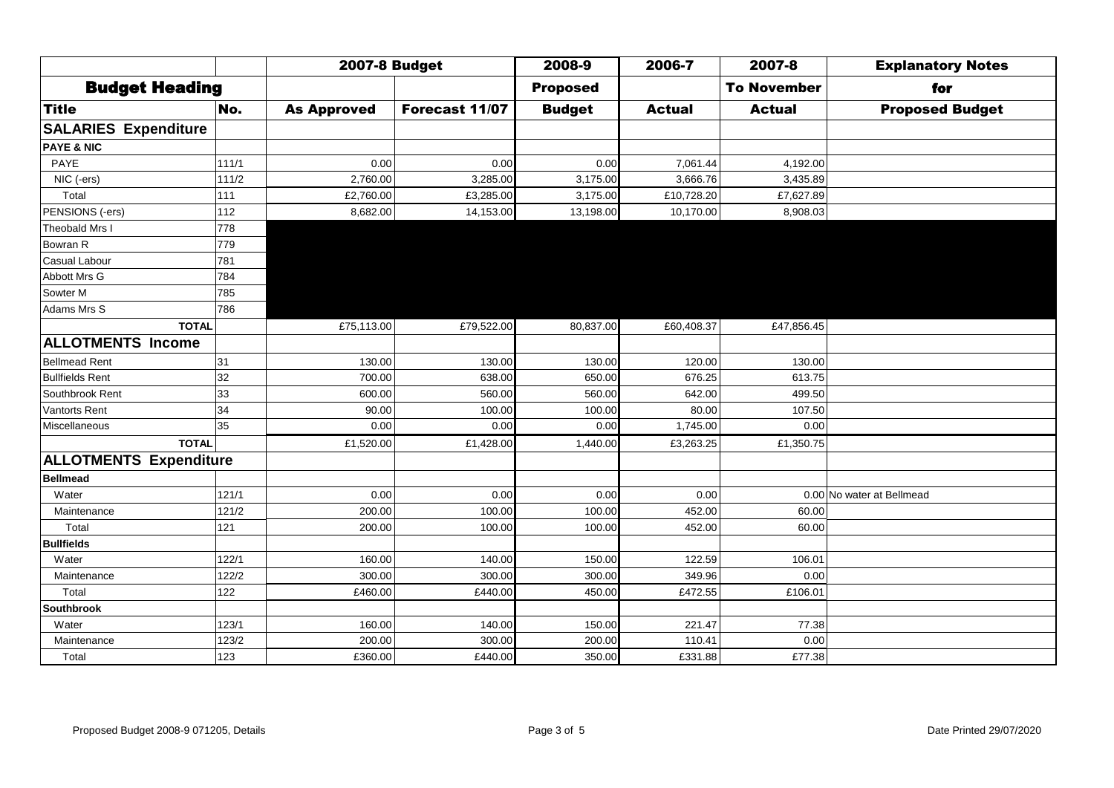|                               |       | <b>2007-8 Budget</b> |                | 2008-9          | 2006-7        | 2007-8             | <b>Explanatory Notes</b>  |
|-------------------------------|-------|----------------------|----------------|-----------------|---------------|--------------------|---------------------------|
| <b>Budget Heading</b>         |       |                      |                | <b>Proposed</b> |               | <b>To November</b> | for                       |
| <b>Title</b>                  | No.   | <b>As Approved</b>   | Forecast 11/07 | <b>Budget</b>   | <b>Actual</b> | <b>Actual</b>      | <b>Proposed Budget</b>    |
| <b>SALARIES Expenditure</b>   |       |                      |                |                 |               |                    |                           |
| <b>PAYE &amp; NIC</b>         |       |                      |                |                 |               |                    |                           |
| PAYE                          | 111/1 | 0.00                 | 0.00           | 0.00            | 7,061.44      | 4,192.00           |                           |
| NIC (-ers)                    | 111/2 | 2,760.00             | 3,285.00       | 3,175.00        | 3,666.76      | 3,435.89           |                           |
| Total                         | 111   | £2,760.00            | £3,285.00      | 3,175.00        | £10,728.20    | £7,627.89          |                           |
| PENSIONS (-ers)               | 112   | 8,682.00             | 14,153.00      | 13,198.00       | 10,170.00     | 8,908.03           |                           |
| Theobald Mrs I                | 778   |                      |                |                 |               |                    |                           |
| Bowran R                      | 779   |                      |                |                 |               |                    |                           |
| Casual Labour                 | 781   |                      |                |                 |               |                    |                           |
| Abbott Mrs G                  | 784   |                      |                |                 |               |                    |                           |
| Sowter M                      | 785   |                      |                |                 |               |                    |                           |
| Adams Mrs S                   | 786   |                      |                |                 |               |                    |                           |
| <b>TOTAL</b>                  |       | £75,113.00           | £79,522.00     | 80,837.00       | £60,408.37    | £47,856.45         |                           |
| <b>ALLOTMENTS Income</b>      |       |                      |                |                 |               |                    |                           |
| <b>Bellmead Rent</b>          | 31    | 130.00               | 130.00         | 130.00          | 120.00        | 130.00             |                           |
| <b>Bullfields Rent</b>        | 32    | 700.00               | 638.00         | 650.00          | 676.25        | 613.75             |                           |
| Southbrook Rent               | 33    | 600.00               | 560.00         | 560.00          | 642.00        | 499.50             |                           |
| Vantorts Rent                 | 34    | 90.00                | 100.00         | 100.00          | 80.00         | 107.50             |                           |
| Miscellaneous                 | 35    | 0.00                 | 0.00           | 0.00            | 1,745.00      | 0.00               |                           |
| TOTAL                         |       | £1,520.00            | £1,428.00      | 1,440.00        | £3,263.25     | £1,350.75          |                           |
| <b>ALLOTMENTS Expenditure</b> |       |                      |                |                 |               |                    |                           |
| <b>Bellmead</b>               |       |                      |                |                 |               |                    |                           |
| Water                         | 121/1 | 0.00                 | 0.00           | 0.00            | 0.00          |                    | 0.00 No water at Bellmead |
| Maintenance                   | 121/2 | 200.00               | 100.00         | 100.00          | 452.00        | 60.00              |                           |
| Total                         | 121   | 200.00               | 100.00         | 100.00          | 452.00        | 60.00              |                           |
| <b>Bullfields</b>             |       |                      |                |                 |               |                    |                           |
| Water                         | 122/1 | 160.00               | 140.00         | 150.00          | 122.59        | 106.01             |                           |
| Maintenance                   | 122/2 | 300.00               | 300.00         | 300.00          | 349.96        | 0.00               |                           |
| Total                         | 122   | £460.00              | £440.00        | 450.00          | £472.55       | £106.01            |                           |
| <b>Southbrook</b>             |       |                      |                |                 |               |                    |                           |
| Water                         | 123/1 | 160.00               | 140.00         | 150.00          | 221.47        | 77.38              |                           |
| Maintenance                   | 123/2 | 200.00               | 300.00         | 200.00          | 110.41        | 0.00               |                           |
| Total                         | 123   | £360.00              | £440.00        | 350.00          | £331.88       | £77.38             |                           |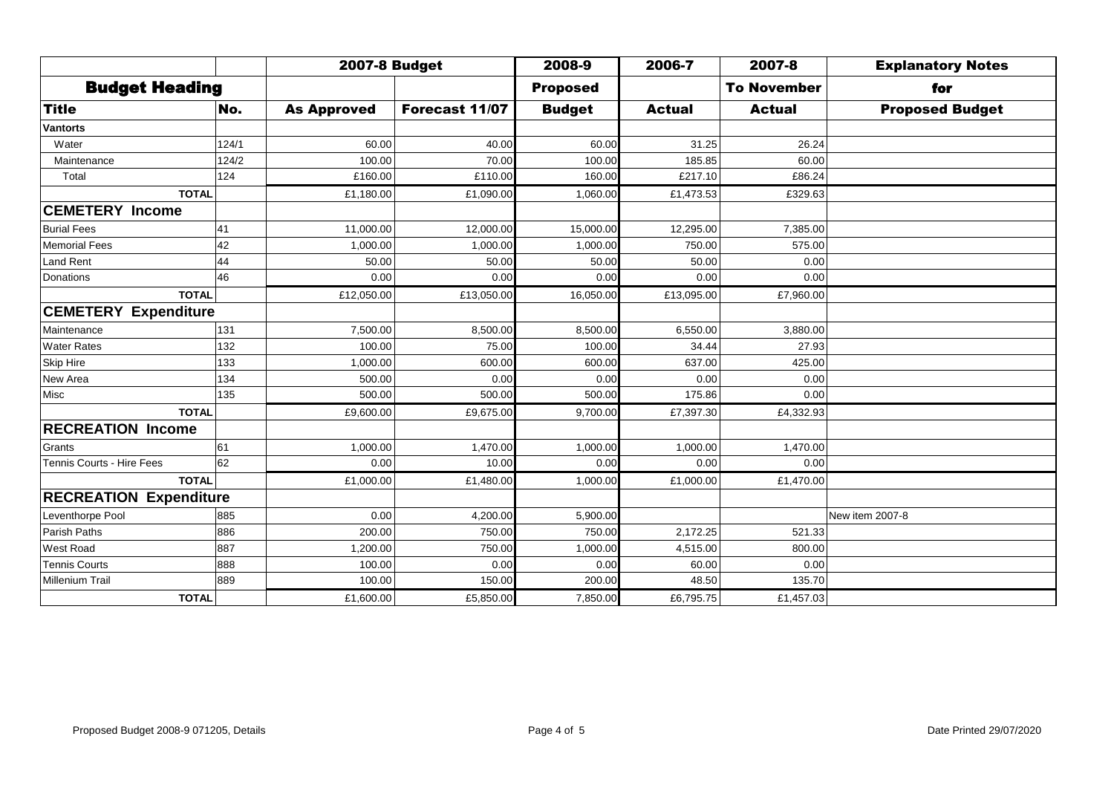|                               |       | <b>2007-8 Budget</b> |                | 2008-9          | 2006-7        | 2007-8             | <b>Explanatory Notes</b> |
|-------------------------------|-------|----------------------|----------------|-----------------|---------------|--------------------|--------------------------|
| <b>Budget Heading</b>         |       |                      |                | <b>Proposed</b> |               | <b>To November</b> | for                      |
| <b>Title</b>                  | No.   | <b>As Approved</b>   | Forecast 11/07 | <b>Budget</b>   | <b>Actual</b> | <b>Actual</b>      | <b>Proposed Budget</b>   |
| <b>Vantorts</b>               |       |                      |                |                 |               |                    |                          |
| Water                         | 124/1 | 60.00                | 40.00          | 60.00           | 31.25         | 26.24              |                          |
| Maintenance                   | 124/2 | 100.00               | 70.00          | 100.00          | 185.85        | 60.00              |                          |
| Total                         | 124   | £160.00              | £110.00        | 160.00          | £217.10       | £86.24             |                          |
| <b>TOTAL</b>                  |       | £1,180.00            | £1,090.00      | 1,060.00        | £1,473.53     | £329.63            |                          |
| <b>CEMETERY Income</b>        |       |                      |                |                 |               |                    |                          |
| <b>Burial Fees</b>            | 41    | 11,000.00            | 12,000.00      | 15,000.00       | 12,295.00     | 7,385.00           |                          |
| <b>Memorial Fees</b>          | 42    | 1,000.00             | 1,000.00       | 1,000.00        | 750.00        | 575.00             |                          |
| Land Rent                     | 44    | 50.00                | 50.00          | 50.00           | 50.00         | 0.00               |                          |
| Donations                     | 46    | 0.00                 | 0.00           | 0.00            | 0.00          | 0.00               |                          |
| <b>TOTAL</b>                  |       | £12,050.00           | £13,050.00     | 16,050.00       | £13,095.00    | £7,960.00          |                          |
| <b>CEMETERY Expenditure</b>   |       |                      |                |                 |               |                    |                          |
| Maintenance                   | 131   | 7.500.00             | 8,500.00       | 8,500.00        | 6.550.00      | 3,880.00           |                          |
| <b>Water Rates</b>            | 132   | 100.00               | 75.00          | 100.00          | 34.44         | 27.93              |                          |
| <b>Skip Hire</b>              | 133   | 1,000.00             | 600.00         | 600.00          | 637.00        | 425.00             |                          |
| New Area                      | 134   | 500.00               | 0.00           | 0.00            | 0.00          | 0.00               |                          |
| Misc                          | 135   | 500.00               | 500.00         | 500.00          | 175.86        | 0.00               |                          |
| <b>TOTAL</b>                  |       | £9,600.00            | £9,675.00      | 9,700.00        | £7,397.30     | £4,332.93          |                          |
| <b>RECREATION Income</b>      |       |                      |                |                 |               |                    |                          |
| Grants                        | 61    | 1,000.00             | 1,470.00       | 1,000.00        | 1,000.00      | 1,470.00           |                          |
| Tennis Courts - Hire Fees     | 62    | 0.00                 | 10.00          | 0.00            | 0.00          | 0.00               |                          |
| <b>TOTAL</b>                  |       | £1,000.00            | £1,480.00      | 1,000.00        | £1,000.00     | £1,470.00          |                          |
| <b>RECREATION Expenditure</b> |       |                      |                |                 |               |                    |                          |
| Leventhorpe Pool              | 885   | 0.00                 | 4,200.00       | 5,900.00        |               |                    | New item 2007-8          |
| Parish Paths                  | 886   | 200.00               | 750.00         | 750.00          | 2,172.25      | 521.33             |                          |
| <b>West Road</b>              | 887   | 1,200.00             | 750.00         | 1,000.00        | 4,515.00      | 800.00             |                          |
| <b>Tennis Courts</b>          | 888   | 100.00               | 0.00           | 0.00            | 60.00         | 0.00               |                          |
| <b>Millenium Trail</b>        | 889   | 100.00               | 150.00         | 200.00          | 48.50         | 135.70             |                          |
| <b>TOTAL</b>                  |       | £1,600.00            | £5,850.00      | 7,850.00        | £6,795.75     | £1,457.03          |                          |